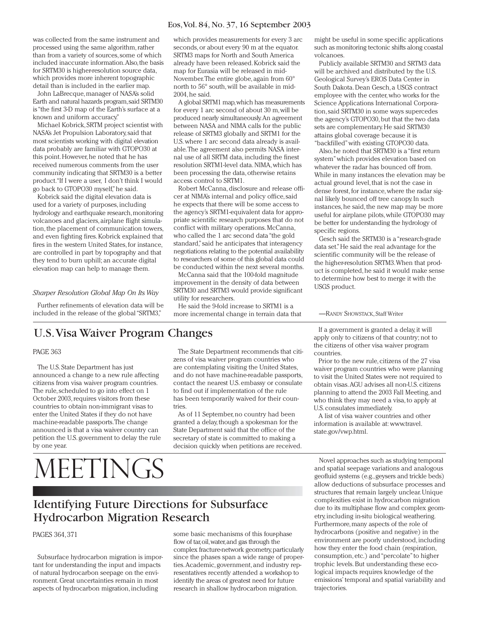#### Eos,Vol. 84, No. 37, 16 September 2003

was collected from the same instrument and processed using the same algorithm, rather than from a variety of sources, some of which included inaccurate information.Also,the basis for SRTM30 is higher-resolution source data, which provides more inherent topographic detail than is included in the earlier map.

John LaBrecque, manager of NASA's solid Earth and natural hazards program,said SRTM30 is "the first 3-D map of the Earth's surface at a known and uniform accuracy."

Michael Kobrick, SRTM project scientist with NASA's Jet Propulsion Laboratory, said that most scientists working with digital elevation data probably are familiar with GTOPO30 at this point. However, he noted that he has received numerous comments from the user community indicating that SRTM30 is a better product."If I were a user, I don't think I would go back to GTOPO30 myself,"he said.

Kobrick said the digital elevation data is used for a variety of purposes, including hydrology and earthquake research,monitoring volcanoes and glaciers, airplane flight simulation, the placement of communication towers, and even fighting fires. Kobrick explained that fires in the western United States, for instance, are controlled in part by topography and that they tend to burn uphill; an accurate digital elevation map can help to manage them.

#### *Sharper Resolution Global Map On Its Way*

Further refinements of elevation data will be included in the release of the global "SRTM3,"

which provides measurements for every 3 arc seconds, or about every 90 m at the equator. SRTM3 maps for North and South America already have been released. Kobrick said the map for Eurasia will be released in mid-November.The entire globe, again from 60° north to 56° south, will be available in mid-2004, he said.

A global SRTM1 map,which has measurements for every 1 arc second of about 30 m,will be produced nearly simultaneously.An agreement between NASA and NIMA calls for the public release of SRTM3 globally and SRTM1 for the U.S. where 1 arc second data already is available.The agreement also permits NASA internal use of all SRTM data, including the finest resolution SRTM1-level data. NIMA, which has been processing the data, otherwise retains access control to SRTM1.

Robert McCanna, disclosure and release officer at NIMA's internal and policy office, said he expects that there will be some access to the agency's SRTM1-equivalent data for appropriate scientific research purposes that do not conflict with military operations. McCanna, who called the 1 arc second data "the gold standard,"said he anticipates that interagency negotiations relating to the potential availability to researchers of some of this global data could be conducted within the next several months.

McCanna said that the 100-fold magnitude improvement in the density of data between SRTM30 and SRTM3 would provide significant utility for researchers.

He said the 9-fold increase to SRTM1 is a more incremental change in terrain data that might be useful in some specific applications such as monitoring tectonic shifts along coastal volcanoes.

Publicly available SRTM30 and SRTM3 data will be archived and distributed by the U.S. Geological Survey's EROS Data Center in South Dakota. Dean Gesch, a USGS contract employee with the center, who works for the Science Applications International Corporation, said SRTM30 in some ways supercedes the agency's GTOPO30, but that the two data sets are complementary. He said SRTM30 attains global coverage because it is "backfilled"with existing GTOPO30 data.

Also, he noted that SRTM30 is a "first return system"which provides elevation based on whatever the radar has bounced off from. While in many instances the elevation may be actual ground level, that is not the case in dense forest, for instance, where the radar signal likely bounced off tree canopy. In such instances, he said, the new map may be more useful for airplane pilots, while GTOPO30 may be better for understanding the hydrology of specific regions.

Gesch said the SRTM30 is a "research-grade data set."He said the real advantage for the scientific community will be the release of the higher-resolution SRTM3.When that product is completed, he said it would make sense to determine how best to merge it with the USGS product.

—RANDY SHOWSTACK, Staff Writer

## U.S.Visa Waiver Program Changes

#### PAGE 363

The U.S. State Department has just announced a change to a new rule affecting citizens from visa waiver program countries. The rule, scheduled to go into effect on 1 October 2003, requires visitors from these countries to obtain non-immigrant visas to enter the United States if they do not have machine-readable passports.The change announced is that a visa waiver country can petition the U.S. government to delay the rule by one year.

# MEETINGS

The State Department recommends that citizens of visa waiver program countries who are contemplating visiting the United States, and do not have machine-readable passports, contact the nearest U.S. embassy or consulate to find out if implementation of the rule has been temporarily waived for their countries.

As of 11 September, no country had been granted a delay, though a spokesman for the State Department said that the office of the secretary of state is committed to making a decision quickly when petitions are received.

If a government is granted a delay, it will apply only to citizens of that country; not to the citizens of other visa waiver program countries.

Prior to the new rule, citizens of the 27 visa waiver program countries who were planning to visit the United States were not required to obtain visas.AGU advises all non-U.S. citizens planning to attend the 2003 Fall Meeting, and who think they may need a visa, to apply at U.S. consulates immediately.

A list of visa waiver countries and other information is available at: www.travel. state.gov/vwp.html.

Novel approaches such as studying temporal and spatial seepage variations and analogous geofluid systems (e.g.,geysers and trickle beds) allow deductions of subsurface processes and structures that remain largely unclear. Unique complexities exist in hydrocarbon migration due to its multiphase flow and complex geometry, including in-situ biological weathering. Furthermore,many aspects of the role of hydrocarbons (positive and negative) in the environment are poorly understood, including how they enter the food chain (respiration, consumption, etc.) and "percolate"to higher trophic levels. But understanding these ecological impacts requires knowledge of the emissions' temporal and spatial variability and trajectories.

# Identifying Future Directions for Subsurface Hydrocarbon Migration Research

#### PAGES 364, 371

Subsurface hydrocarbon migration is important for understanding the input and impacts of natural hydrocarbon seepage on the environment. Great uncertainties remain in most aspects of hydrocarbon migration, including

some basic mechanisms of this four-phase flow of tar,oil,water,and gas through the complex fracture-network geometry,particularly since the phases span a wide range of properties.Academic, government, and industry representatives recently attended a workshop to identify the areas of greatest need for future research in shallow hydrocarbon migration.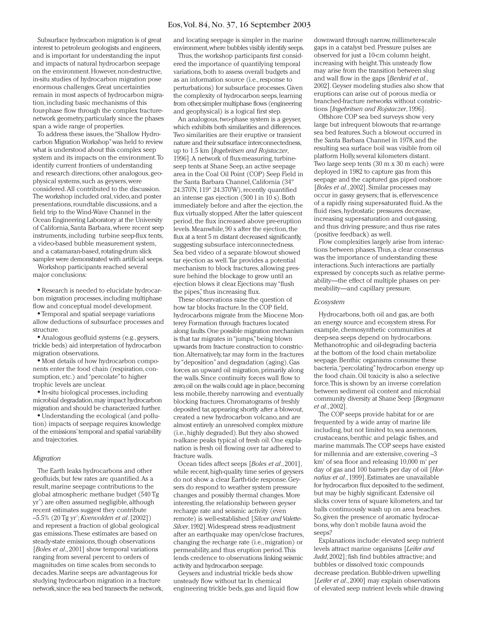#### Eos,Vol. 84, No. 37, 16 September 2003

Subsurface hydrocarbon migration is of great interest to petroleum geologists and engineers, and is important for understanding the input and impacts of natural hydrocarbon seepage on the environment. However, non-destructive, in-situ studies of hydrocarbon migration pose enormous challenges. Great uncertainties remain in most aspects of hydrocarbon migration, including basic mechanisms of this four-phase flow through the complex fracturenetwork geometry,particularly since the phases span a wide range of properties.

To address these issues, the "Shallow Hydrocarbon Migration Workshop"was held to review what is understood about this complex seep system and its impacts on the environment.To identify current frontiers of understanding and research directions, other analogous, geophysical systems, such as geysers, were considered.All contributed to the discussion. The workshop included oral, video, and poster presentations, roundtable discussions, and a field trip to the Wind-Wave Channel in the Ocean Engineering Laboratory at the University of California, Santa Barbara, where recent seep instruments, including turbine seep-flux tents, a video-based bubble measurement system, and a catamaran-based, rotating-drum slick sampler were demonstrated with artificial seeps.

Workshop participants reached several major conclusions:

● Research is needed to elucidate hydrocarbon migration processes,including multiphase flow and conceptual model development.

● Temporal and spatial seepage variations allow deductions of subsurface processes and structure.

● Analogous geofluid systems (e.g., geysers, trickle beds) aid interpretation of hydrocarbon migration observations.

● Most details of how hydrocarbon components enter the food chain (respiration, consumption, etc.) and "percolate"to higher trophic levels are unclear.

● In-situ biological processes, including microbial degradation,may impact hydrocarbon migration and should be characterized further.

• Understanding the ecological (and pollution) impacts of seepage requires knowledge of the emissions'temporal and spatial variability and trajectories.

#### *Migration*

The Earth leaks hydrocarbons and other geofluids, but few rates are quantified.As a result, marine seepage contributions to the global atmospheric methane budget (540 Tg yr-1) are often assumed negligible, although recent estimates suggest they contribute ~5.5% (20 Tg yr<sup>1</sup>; *Kvenvolden et al.* [2002]) and represent a fraction of global geological gas emissions.These estimates are based on steady-state emissions, though observations [*Boles et al*., 2001] show temporal variations ranging from several percent to orders of magnitudes on time scales from seconds to decades. Marine seeps are advantageous for studying hydrocarbon migration in a fracture network,since the sea bed transects the network, and locating seepage is simpler in the marine environment,where bubbles visibly identify seeps.

Thus, the workshop participants first considered the importance of quantifying temporal variations, both to assess overall budgets and as an information source (i.e., response to perturbations) for subsurface processes.Given the complexity of hydrocarbon seeps,learning from other,simpler multiphase flows (engineering and geophysical) is a logical first step.

An analogous, two-phase system is a geyser, which exhibits both similarities and differences. Two similarities are their eruptive or transient nature and their subsurface interconnectedness, up to 1.5 km [*Ingebritsen and Rojstaczer*, 1996].A network of flux-measuring, turbineseep tents at Shane Seep, an active seepage area in the Coal Oil Point (COP) Seep Field in the Santa Barbara Channel, California (34° 24.370<sup>'</sup>N, 119° 24.370'W), recently quantified an intense gas ejection (500 l in 10 s). Both immediately before and after the ejection, the flux virtually stopped.After the latter quiescent period, the flux increased above pre-eruption levels. Meanwhile, 90 s after the ejection, the flux at a tent 5 m distant decreased significantly, suggesting subsurface interconnectedness. Sea bed video of a separate blowout showed tar ejection as well.Tar provides a potential mechanism to block fractures, allowing pressure behind the blockage to grow until an ejection blows it clear. Ejections may "flush the pipes,"thus increasing flux.

These observations raise the question of how tar blocks fracture. In the COP field, hydrocarbons migrate from the Miocene Monterey Formation through fractures located along faults.One possible migration mechanism is that tar migrates in "jumps,"being blown upwards from fracture construction to constriction.Alternatively, tar may form in the fractures by "deposition"and degradation (aging). Gas forces an upward oil migration, primarily along the walls. Since continuity forces wall flow to zero,oil on the walls could age in place,becoming less mobile, thereby narrowing and eventually blocking fractures. Chromatograms of freshly deposited tar,appearing shortly after a blowout, created a new hydrocarbon volcano, and are almost entirely an unresolved complex mixture (i.e., highly degraded). But they also showed n-alkane peaks typical of fresh oil. One explanation is fresh oil flowing over tar adhered to fracture walls.

Ocean tides affect seeps [*Boles et al*., 2001], while recent,high-quality time series of geysers do not show a clear Earth-tide response. Geysers do respond to weather system pressure changes and possibly thermal changes. More interesting, the relationship between geyser recharge rate and seismic activity (even remote) is well-established [*Silver and Valette-Silver*,1992].Widespread stress re-adjustment after an earthquake may open/close fractures, changing the recharge rate (i.e., migration) or permeability, and thus eruption period.This lends credence to observations linking seismic activity and hydrocarbon seepage.

Geysers and industrial trickle beds show unsteady flow without tar. In chemical engineering trickle beds, gas and liquid flow

downward through narrow, millimeter-scale gaps in a catalyst bed. Pressure pulses are observed for just a 10-cm column height, increasing with height.This unsteady flow may arise from the transition between slug and wall flow in the gaps [*Benkrid et al*., 2002]. Geyser modeling studies also show that eruptions can arise out of porous media or branched-fracture networks without constrictions [*Ingebritsen and Rojstaczer*, 1996].

Offshore COP sea bed surveys show very large but infrequent blowouts that re-arrange sea bed features. Such a blowout occurred in the Santa Barbara Channel in 1978, and the resulting sea surface boil was visible from oil platform Holly, several kilometers distant. Two large seep tents (30 m x 30 m each) were deployed in 1982 to capture gas from this seepage and the captured gas piped onshore [*Boles et al*., 2002]. Similar processes may occur in gassy geysers; that is, effervescence of a rapidly rising super-saturated fluid.As the fluid rises, hydrostatic pressures decrease, increasing super-saturation and out-gassing, and thus driving pressure; and thus rise rates (positive feedback) as well.

Flow complexities largely arise from interactions between phases.Thus, a clear consensus was the importance of understanding these interactions. Such interactions are partially expressed by concepts such as relative permeability—the effect of multiple phases on permeability—and capillary pressure.

#### *Ecosystem*

Hydrocarbons, both oil and gas, are both an energy source and ecosystem stress. For example, chemosynthetic communities at deep-sea seeps depend on hydrocarbons. Methanotrophic and oil-degrading bacteria at the bottom of the food chain metabolize seepage. Benthic organisms consume these bacteria,"percolating"hydrocarbon energy up the food chain. Oil toxicity is also a selective force.This is shown by an inverse correlation between sediment oil content and microbial community diversity at Shane Seep [*Bergmann et al*., 2002].

The COP seeps provide habitat for or are frequented by a wide array of marine life including, but not limited to, sea anemones, crustaceans, benthic and pelagic fishes, and marine mammals.The COP seeps have existed for millennia and are extensive, covering ~3  $km<sup>2</sup>$  of sea floor and releasing 10,000 m<sup>3</sup> per day of gas and 100 barrels per day of oil [*Hornafius et al*., 1999]. Estimates are unavailable for hydrocarbon flux deposited to the sediment, but may be highly significant. Extensive oil slicks cover tens of square kilometers, and tar balls continuously wash up on area beaches. So, given the presence of aromatic hydrocarbons, why don't mobile fauna avoid the seeps?

Explanations include: elevated seep nutrient levels attract marine organisms [*Leifer and Judd*, 2002]; fish find bubbles attractive; and bubbles or dissolved toxic compounds decrease predation. Bubble-driven upwelling [*Leifer et al*., 2000] may explain observations of elevated seep nutrient levels while drawing